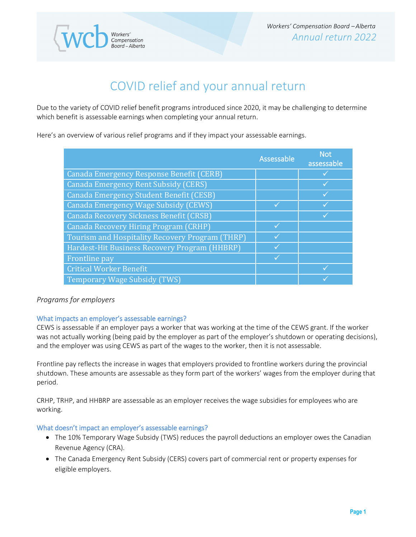# COVID relief and your annual return

Due to the variety of COVID relief benefit programs introduced since 2020, it may be challenging to determine which benefit is assessable earnings when completing your annual return.

Here's an overview of various relief programs and if they impact your assessable earnings.

Workers'<br>Compensation<br>Board – Alberta

|                                                 | Assessable | <b>Not</b><br>assessable |
|-------------------------------------------------|------------|--------------------------|
| Canada Emergency Response Benefit (CERB)        |            |                          |
| Canada Emergency Rent Subsidy (CERS)            |            |                          |
| <b>Canada Emergency Student Benefit (CESB)</b>  |            |                          |
| Canada Emergency Wage Subsidy (CEWS)            |            |                          |
| <b>Canada Recovery Sickness Benefit (CRSB)</b>  |            |                          |
| Canada Recovery Hiring Program (CRHP)           |            |                          |
| Tourism and Hospitality Recovery Program (THRP) |            |                          |
| Hardest-Hit Business Recovery Program (HHBRP)   |            |                          |
| <b>Frontline</b> pay                            |            |                          |
| <b>Critical Worker Benefit</b>                  |            |                          |
| Temporary Wage Subsidy (TWS)                    |            |                          |

# *Programs for employers*

# What impacts an employer's assessable earnings?

CEWS is assessable if an employer pays a worker that was working at the time of the CEWS grant. If the worker was not actually working (being paid by the employer as part of the employer's shutdown or operating decisions), and the employer was using CEWS as part of the wages to the worker, then it is not assessable.

Frontline pay reflects the increase in wages that employers provided to frontline workers during the provincial shutdown. These amounts are assessable as they form part of the workers' wages from the employer during that period.

CRHP, TRHP, and HHBRP are assessable as an employer receives the wage subsidies for employees who are working.

# What doesn't impact an employer's assessable earnings?

- The 10% Temporary Wage Subsidy (TWS) reduces the payroll deductions an employer owes the Canadian Revenue Agency (CRA).
- The Canada Emergency Rent Subsidy (CERS) covers part of commercial rent or property expenses for eligible employers.